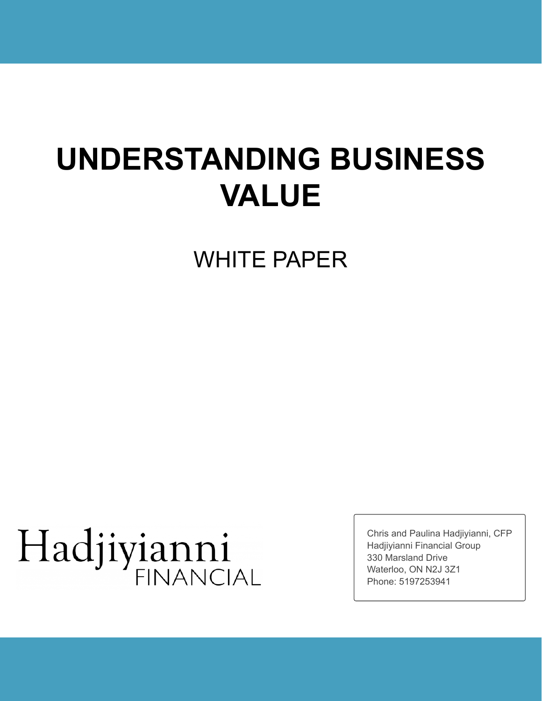## **UNDERSTANDING BUSINESS VALUE**

WHITE PAPER

# Hadjiyianni

Chris and Paulina Hadjiyianni, CFP Hadjiyianni Financial Group 330 Marsland Drive Waterloo, ON N2J 3Z1 Phone: 5197253941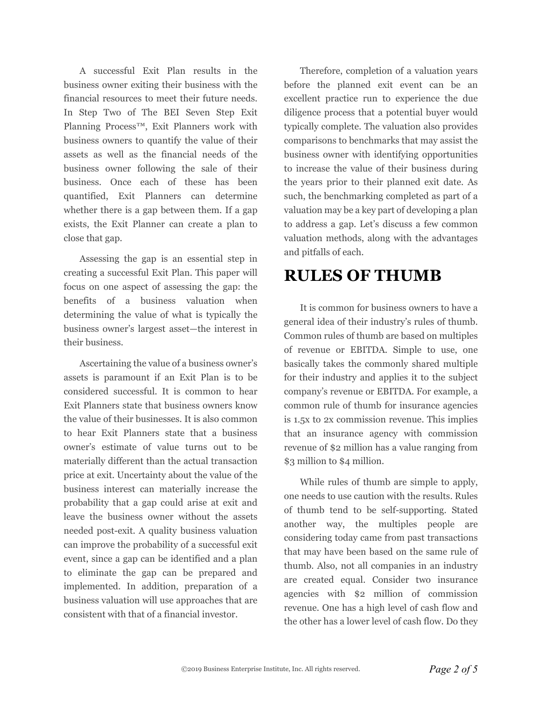A successful Exit Plan results in the business owner exiting their business with the financial resources to meet their future needs. In Step Two of The BEI Seven Step Exit Planning Process™, Exit Planners work with business owners to quantify the value of their assets as well as the financial needs of the business owner following the sale of their business. Once each of these has been quantified, Exit Planners can determine whether there is a gap between them. If a gap exists, the Exit Planner can create a plan to close that gap.

Assessing the gap is an essential step in creating a successful Exit Plan. This paper will focus on one aspect of assessing the gap: the benefits of a business valuation when determining the value of what is typically the business owner's largest asset—the interest in their business.

Ascertaining the value of a business owner's assets is paramount if an Exit Plan is to be considered successful. It is common to hear Exit Planners state that business owners know the value of their businesses. It is also common to hear Exit Planners state that a business owner's estimate of value turns out to be materially different than the actual transaction price at exit. Uncertainty about the value of the business interest can materially increase the probability that a gap could arise at exit and leave the business owner without the assets needed post-exit. A quality business valuation can improve the probability of a successful exit event, since a gap can be identified and a plan to eliminate the gap can be prepared and implemented. In addition, preparation of a business valuation will use approaches that are consistent with that of a financial investor.

Therefore, completion of a valuation years before the planned exit event can be an excellent practice run to experience the due diligence process that a potential buyer would typically complete. The valuation also provides comparisons to benchmarks that may assist the business owner with identifying opportunities to increase the value of their business during the years prior to their planned exit date. As such, the benchmarking completed as part of a valuation may be a key part of developing a plan to address a gap. Let's discuss a few common valuation methods, along with the advantages and pitfalls of each.

#### **RULES OF THUMB**

It is common for business owners to have a general idea of their industry's rules of thumb. Common rules of thumb are based on multiples of revenue or EBITDA. Simple to use, one basically takes the commonly shared multiple for their industry and applies it to the subject company's revenue or EBITDA. For example, a common rule of thumb for insurance agencies is 1.5x to 2x commission revenue. This implies that an insurance agency with commission revenue of \$2 million has a value ranging from \$3 million to \$4 million.

While rules of thumb are simple to apply, one needs to use caution with the results. Rules of thumb tend to be self-supporting. Stated another way, the multiples people are considering today came from past transactions that may have been based on the same rule of thumb. Also, not all companies in an industry are created equal. Consider two insurance agencies with \$2 million of commission revenue. One has a high level of cash flow and the other has a lower level of cash flow. Do they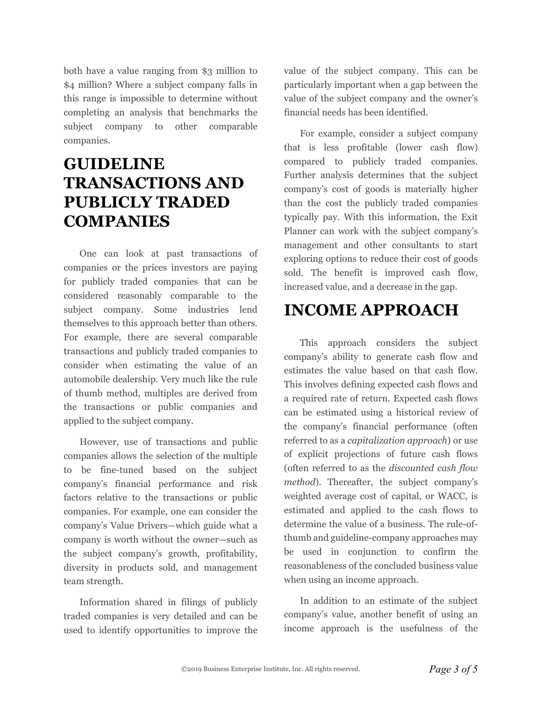both have a value ranging from \$3 million to \$4 million? Where a subject company falls in this range is impossible to determine without completing an analysis that benchmarks the subject company to other comparable companies.

#### **GUIDELINE TRANSACTIONS AND PUBLICLY TRADED COMPANIES**

One can look at past transactions of companies or the prices investors are paying for publicly traded companies that can be considered reasonably comparable to the subject company. Some industries lend themselves to this approach better than others. For example, there are several comparable transactions and publicly traded companies to consider when estimating the value of an automobile dealership. Very much like the rule of thumb method, multiples are derived from the transactions or public companies and applied to the subject company.

However, use of transactions and public companies allows the selection of the multiple to be fine-tuned based on the subject company's financial performance and risk factors relative to the transactions or public companies. For example, one can consider the company's Value Drivers—which guide what a company is worth without the owner—such as the subject company's growth, profitability, diversity in products sold, and management team strength.

Information shared in filings of publicly traded companies is very detailed and can be used to identify opportunities to improve the

value of the subject company. This can be particularly important when a gap between the value of the subject company and the owner's financial needs has been identified.

For example, consider a subject company that is less profitable (lower cash flow) compared to publicly traded companies. Further analysis determines that the subject company's cost of goods is materially higher than the cost the publicly traded companies typically pay. With this information, the Exit Planner can work with the subject company's management and other consultants to start exploring options to reduce their cost of goods sold. The benefit is improved cash flow, increased value, and a decrease in the gap.

### **INCOME APPROACH**

This approach considers the subject company's ability to generate cash flow and estimates the value based on that cash flow. This involves defining expected cash flows and a required rate of return. Expected cash flows can be estimated using a historical review of the company's financial performance (often referred to as a *capitalization approach*) or use of explicit projections of future cash flows (often referred to as the *discounted cash flow method*). Thereafter, the subject company's weighted average cost of capital, or WACC, is estimated and applied to the cash flows to determine the value of a business. The rule-ofthumb and guideline-company approaches may be used in conjunction to confirm the reasonableness of the concluded business value when using an income approach.

In addition to an estimate of the subject company's value, another benefit of using an income approach is the usefulness of the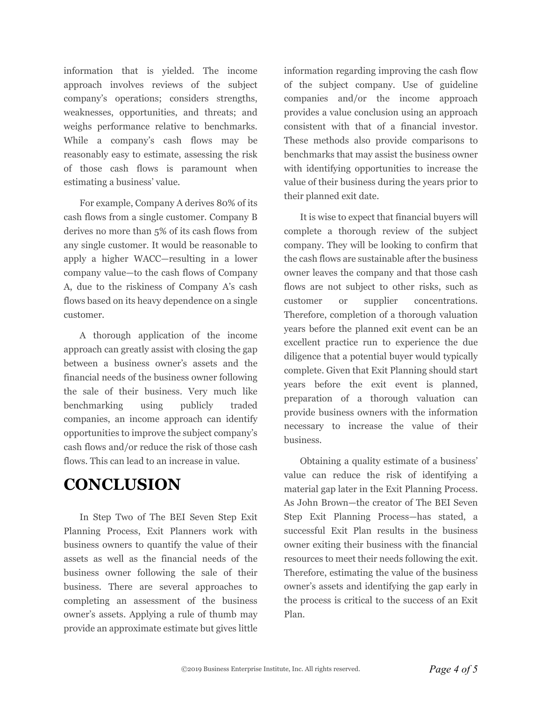information that is yielded. The income approach involves reviews of the subject company's operations; considers strengths, weaknesses, opportunities, and threats; and weighs performance relative to benchmarks. While a company's cash flows may be reasonably easy to estimate, assessing the risk of those cash flows is paramount when estimating a business' value.

For example, Company A derives 80% of its cash flows from a single customer. Company B derives no more than 5% of its cash flows from any single customer. It would be reasonable to apply a higher WACC—resulting in a lower company value—to the cash flows of Company A, due to the riskiness of Company A's cash flows based on its heavy dependence on a single customer.

A thorough application of the income approach can greatly assist with closing the gap between a business owner's assets and the financial needs of the business owner following the sale of their business. Very much like benchmarking using publicly traded companies, an income approach can identify opportunities to improve the subject company's cash flows and/or reduce the risk of those cash flows. This can lead to an increase in value.

#### **CONCLUSION**

In Step Two of The BEI Seven Step Exit Planning Process, Exit Planners work with business owners to quantify the value of their assets as well as the financial needs of the business owner following the sale of their business. There are several approaches to completing an assessment of the business owner's assets. Applying a rule of thumb may provide an approximate estimate but gives little

information regarding improving the cash flow of the subject company. Use of guideline companies and/or the income approach provides a value conclusion using an approach consistent with that of a financial investor. These methods also provide comparisons to benchmarks that may assist the business owner with identifying opportunities to increase the value of their business during the years prior to their planned exit date.

It is wise to expect that financial buyers will complete a thorough review of the subject company. They will be looking to confirm that the cash flows are sustainable after the business owner leaves the company and that those cash flows are not subject to other risks, such as customer or supplier concentrations. Therefore, completion of a thorough valuation years before the planned exit event can be an excellent practice run to experience the due diligence that a potential buyer would typically complete. Given that Exit Planning should start years before the exit event is planned, preparation of a thorough valuation can provide business owners with the information necessary to increase the value of their business.

Obtaining a quality estimate of a business' value can reduce the risk of identifying a material gap later in the Exit Planning Process. As John Brown—the creator of The BEI Seven Step Exit Planning Process—has stated, a successful Exit Plan results in the business owner exiting their business with the financial resources to meet their needs following the exit. Therefore, estimating the value of the business owner's assets and identifying the gap early in the process is critical to the success of an Exit Plan.